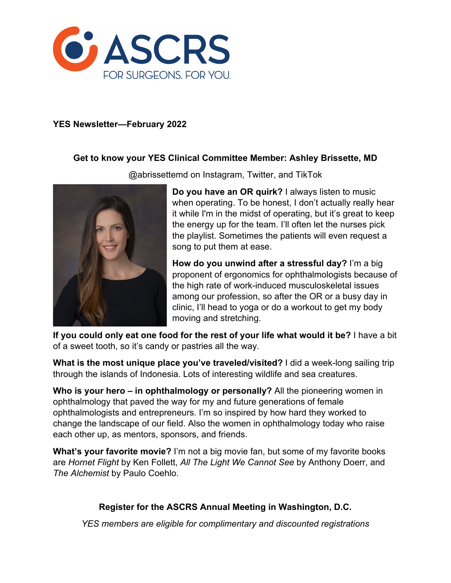

### **YES Newsletter—February 2022**

### **Get to know your YES Clinical Committee Member: Ashley Brissette, MD**



@abrissettemd on Instagram, Twitter, and TikTok

**Do you have an OR quirk?** I always listen to music when operating. To be honest, I don't actually really hear it while I'm in the midst of operating, but it's great to keep the energy up for the team. I'll often let the nurses pick the playlist. Sometimes the patients will even request a song to put them at ease.

**How do you unwind after a stressful day?** I'm a big proponent of ergonomics for ophthalmologists because of the high rate of work-induced musculoskeletal issues among our profession, so after the OR or a busy day in clinic, I'll head to yoga or do a workout to get my body moving and stretching.

**If you could only eat one food for the rest of your life what would it be?** I have a bit of a sweet tooth, so it's candy or pastries all the way.

**What is the most unique place you've traveled/visited?** I did a week-long sailing trip through the islands of Indonesia. Lots of interesting wildlife and sea creatures.

**Who is your hero – in ophthalmology or personally?** All the pioneering women in ophthalmology that paved the way for my and future generations of female ophthalmologists and entrepreneurs. I'm so inspired by how hard they worked to change the landscape of our field. Also the women in ophthalmology today who raise each other up, as mentors, sponsors, and friends.

**What's your favorite movie?** I'm not a big movie fan, but some of my favorite books are *Hornet Flight* by Ken Follett, *All The Light We Cannot See* by Anthony Doerr, and *The Alchemist* by Paulo Coehlo.

# **Register for the ASCRS Annual Meeting in Washington, D.C.**

*YES members are eligible for complimentary and discounted registrations*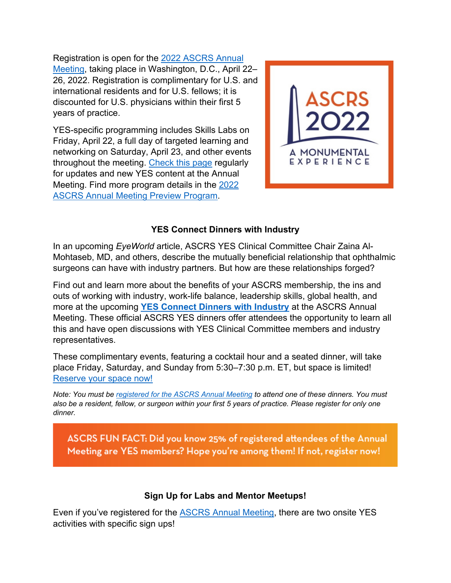Registration is open for the 2022 ASCRS Annual Meeting, taking place in Washington, D.C., April 22– 26, 2022. Registration is complimentary for U.S. and international residents and for U.S. fellows; it is discounted for U.S. physicians within their first 5 years of practice.

YES-specific programming includes Skills Labs on Friday, April 22, a full day of targeted learning and networking on Saturday, April 23, and other events throughout the meeting. Check this page regularly for updates and new YES content at the Annual Meeting. Find more program details in the 2022 ASCRS Annual Meeting Preview Program.



### **YES Connect Dinners with Industry**

In an upcoming *EyeWorld* article, ASCRS YES Clinical Committee Chair Zaina Al-Mohtaseb, MD, and others, describe the mutually beneficial relationship that ophthalmic surgeons can have with industry partners. But how are these relationships forged?

Find out and learn more about the benefits of your ASCRS membership, the ins and outs of working with industry, work-life balance, leadership skills, global health, and more at the upcoming **YES Connect Dinners with Industry** at the ASCRS Annual Meeting. These official ASCRS YES dinners offer attendees the opportunity to learn all this and have open discussions with YES Clinical Committee members and industry representatives.

These complimentary events, featuring a cocktail hour and a seated dinner, will take place Friday, Saturday, and Sunday from 5:30–7:30 p.m. ET, but space is limited! Reserve your space now!

*Note: You must be registered for the ASCRS Annual Meeting to attend one of these dinners. You must also be a resident, fellow, or surgeon within your first 5 years of practice. Please register for only one dinner.* 

ASCRS FUN FACT: Did you know 25% of registered attendees of the Annual Meeting are YES members? Hope you're among them! If not, register now!

#### **Sign Up for Labs and Mentor Meetups!**

Even if you've registered for the **ASCRS Annual Meeting**, there are two onsite YES activities with specific sign ups!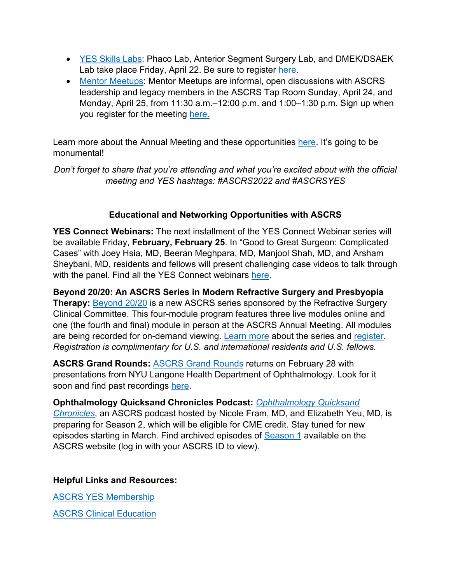- YES Skills Labs: Phaco Lab, Anterior Segment Surgery Lab, and DMEK/DSAEK Lab take place Friday, April 22. Be sure to register here.
- Mentor Meetups: Mentor Meetups are informal, open discussions with ASCRS leadership and legacy members in the ASCRS Tap Room Sunday, April 24, and Monday, April 25, from 11:30 a.m.–12:00 p.m. and 1:00–1:30 p.m. Sign up when you register for the meeting here.

Learn more about the Annual Meeting and these opportunities here. It's going to be monumental!

*Don't forget to share that you're attending and what you're excited about with the official meeting and YES hashtags: #ASCRS2022 and #ASCRSYES*

## **Educational and Networking Opportunities with ASCRS**

**YES Connect Webinars:** The next installment of the YES Connect Webinar series will be available Friday, **February, February 25**. In "Good to Great Surgeon: Complicated Cases" with Joey Hsia, MD, Beeran Meghpara, MD, Manjool Shah, MD, and Arsham Sheybani, MD, residents and fellows will present challenging case videos to talk through with the panel. Find all the YES Connect webinars here.

**Beyond 20/20: An ASCRS Series in Modern Refractive Surgery and Presbyopia Therapy:** Beyond 20/20 is a new ASCRS series sponsored by the Refractive Surgery Clinical Committee. This four-module program features three live modules online and one (the fourth and final) module in person at the ASCRS Annual Meeting. All modules are being recorded for on-demand viewing. Learn more about the series and register. *Registration is complimentary for U.S. and international residents and U.S. fellows.*

**ASCRS Grand Rounds:** ASCRS Grand Rounds returns on February 28 with presentations from NYU Langone Health Department of Ophthalmology. Look for it soon and find past recordings here.

#### **Ophthalmology Quicksand Chronicles Podcast:** *Ophthalmology Quicksand*

*Chronicles*, an ASCRS podcast hosted by Nicole Fram, MD, and Elizabeth Yeu, MD, is preparing for Season 2, which will be eligible for CME credit. Stay tuned for new episodes starting in March. Find archived episodes of Season 1 available on the ASCRS website (log in with your ASCRS ID to view).

### **Helpful Links and Resources:**

ASCRS YES Membership

ASCRS Clinical Education